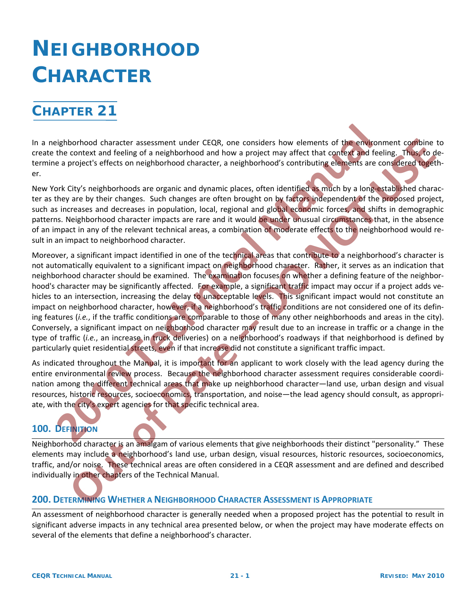# **CHAPTER 21**

In a neighborhood character assessment under CEQR, one considers how elements of the environment combine to create the context and feeling of a neighborhood and how a project may affect that context and feeling. Thus, to determine a project's effects on neighborhood character, a neighborhood's contributing elements are considered together.

New York City's neighborhoods are organic and dynamic places, often identified as much by a long-established character as they are by their changes. Such changes are often brought on by factors independent of the proposed project, such as increases and decreases in population, local, regional and global economic forces, and shifts in demographic patterns. Neighborhood character impacts are rare and it would be under unusual circumstances that, in the absence of an impact in any of the relevant technical areas, a combination of moderate effects to the neighborhood would re‐ sult in an impact to neighborhood character.

Moreover, a significant impact identified in one of the technical areas that contribute to a neighborhood's character is not automatically equivalent to a significant impact on neighborhood character. Rather, it serves as an indication that neighborhood character should be examined. The examination focuses on whether a defining feature of the neighborhood's character may be significantly affected. For example, a significant traffic impact may occur if a project adds vehicles to an intersection, increasing the delay to unacceptable levels. This significant impact would not constitute an impact on neighborhood character, however, if a neighborhood's traffic conditions are not considered one of its defining features (*i.e.*, if the traffic conditions are comparable to those of many other neighborhoods and areas in the city). Conversely, a significant impact on neighborhood character may result due to an increase in traffic or a change in the type of traffic (*i.e.*, an increase in truck deliveries) on a neighborhood's roadways if that neighborhood is defined by particularly quiet residential streets, even if that increase did not constitute a significant traffic impact. eighborhood character speessment under CEQR, one considers how elements of the emigron<br>the context and feeling of a neighborhood and how a project may affect that context and feel<br>e a project's effects on neighborhood char bonoto chracter assessment under CEO<sub>6</sub>, one considers how elements of the environment confidence and the substitute of the and one considered in a CCO<sub>6</sub> selection on distribution of contributing elements are considered r

As indicated throughout the Manual, it is important for an applicant to work closely with the lead agency during the entire environmental review process. Because the neighborhood character assessment requires considerable coordination among the different technical areas that make up neighborhood character—land use, urban design and visual resources, historic resources, socioeconomics, transportation, and noise—the lead agency should consult, as appropri‐ ate, with the city's expert agencies for that specific technical area.

# **100. DEFINITION**

Neighborhood character is an amalgam of various elements that give neighborhoods their distinct "personality." These elements may include a neighborhood's land use, urban design, visual resources, historic resources, socioeconomics, traffic, and/or noise. These technical areas are often considered in a CEQR assessment and are defined and described individually in other chapters of the Technical Manual.

# **200. DETERMINING WHETHER A NEIGHBORHOOD CHARACTER ASSESSMENT IS APPROPRIATE**

An assessment of neighborhood character is generally needed when a proposed project has the potential to result in significant adverse impacts in any technical area presented below, or when the project may have moderate effects on several of the elements that define a neighborhood's character.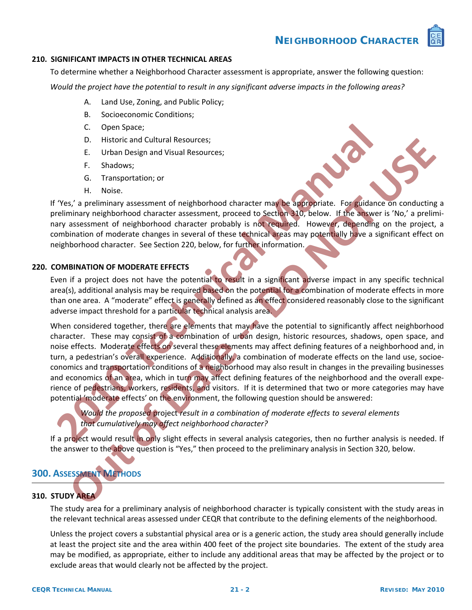

#### **210. SIGNIFICANT IMPACTS IN OTHER TECHNICAL AREAS**

To determine whether a Neighborhood Character assessment is appropriate, answer the following question:

Would the project have the potential to result in any significant adverse impacts in the following areas?

- A. Land Use, Zoning, and Public Policy;
- B. Socioeconomic Conditions;
- C. Open Space;
- D. Historic and Cultural Resources;
- E. Urban Design and Visual Resources;
- F. Shadows;
- G. Transportation; or
- H. Noise.

If 'Yes,' a preliminary assessment of neighborhood character may be appropriate. For guidance on conducting a preliminary neighborhood character assessment, proceed to Section 310, below. If the answer is 'No,' a preliminary assessment of neighborhood character probably is not required. However, depending on the project, a combination of moderate changes in several of these technical areas may potentially have a significant effect on neighborhood character. See Section 220, below, for further information.

#### **220. COMBINATION OF MODERATE EFFECTS**

Even if a project does not have the potential to result in a significant adverse impact in any specific technical area(s), additional analysis may be required based on the potential for a combination of moderate effects in more than one area. A "moderate" effect is generally defined as an effect considered reasonably close to the significant adverse impact threshold for a particular technical analysis area.

When considered together, there are elements that may have the potential to significantly affect neighborhood character. These may consist of a combination of urban design, historic resources, shadows, open space, and noise effects. Moderate effects on several these elements may affect defining features of a neighborhood and, in turn, a pedestrian's overall experience. Additionally, a combination of moderate effects on the land use, socioeconomics and transportation conditions of a neighborhood may also result in changes in the prevailing businesses and economics of an area, which in turn may affect defining features of the neighborhood and the overall experience of pedestrians, workers, residents, and visitors. If it is determined that two or more categories may have potential 'moderate effects' on the environment, the following question should be answered: C. Open Space;<br> **2011** Bustivica and Cultural Resources;<br> **2011** Entirivary assessment of neighborhood character may be appropriate. For guidance<br> **2011** H. Noise.<br> **2013** H. Noise.<br> **2013** H. Noise.<br> **2013** H. Noise.<br> **20 D.** Historic and Cultural Resources;<br>
E. Urban Design and Visual Resources;<br>
E. Urban Design and Visual Resources;<br>
C. Transportation, or<br>
S.'s a preliminary assessment of neighborhood character probably is not equilible.

*Would the proposed* project *result in a combination of moderate effects to several elements that cumulatively may affect neighborhood character?*

If a project would result in only slight effects in several analysis categories, then no further analysis is needed. If the answer to the above question is "Yes," then proceed to the preliminary analysis in Section 320, below.

# **300. ASSESSMENT METHODS**

# **310. STUDY AREA**

The study area for a preliminary analysis of neighborhood character is typically consistent with the study areas in the relevant technical areas assessed under CEQR that contribute to the defining elements of the neighborhood.

Unless the project covers a substantial physical area or is a generic action, the study area should generally include at least the project site and the area within 400 feet of the project site boundaries. The extent of the study area may be modified, as appropriate, either to include any additional areas that may be affected by the project or to exclude areas that would clearly not be affected by the project.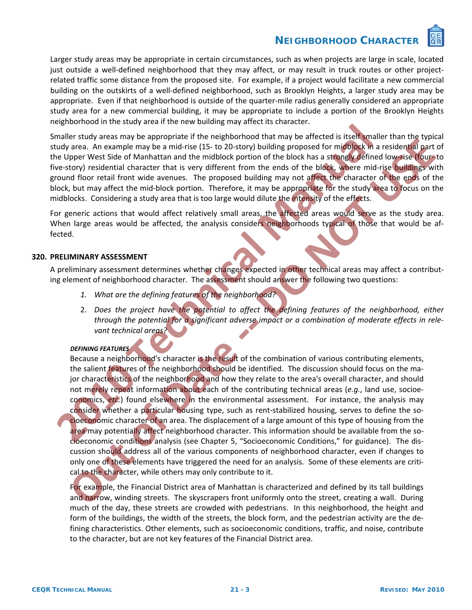

Larger study areas may be appropriate in certain circumstances, such as when projects are large in scale, located just outside a well-defined neighborhood that they may affect, or may result in truck routes or other projectrelated traffic some distance from the proposed site. For example, if a project would facilitate a new commercial building on the outskirts of a well‐defined neighborhood, such as Brooklyn Heights, a larger study area may be appropriate. Even if that neighborhood is outside of the quarter-mile radius generally considered an appropriate study area for a new commercial building, it may be appropriate to include a portion of the Brooklyn Heights neighborhood in the study area if the new building may affect its character.

Smaller study areas may be appropriate if the neighborhood that may be affected is itself smaller than the typical study area. An example may be a mid-rise (15- to 20-story) building proposed for midblock in a residential part of the Upper West Side of Manhattan and the midblock portion of the block has a strongly defined low‐rise (four‐ to five-story) residential character that is very different from the ends of the block, where mid-rise buildings with ground floor retail front wide avenues. The proposed building may not affect the character of the ends of the block, but may affect the mid-block portion. Therefore, it may be appropriate for the study area to focus on the midblocks. Considering a study area that is too large would dilute the intensity of the effects.

For generic actions that would affect relatively small areas, the affected areas would serve as the study area. When large areas would be affected, the analysis considers neighborhoods typical of those that would be affected.

#### **320. PRELIMINARY ASSESSMENT**

A preliminary assessment determines whether changes expected in other technical areas may affect a contributing element of neighborhood character. The assessment should answer the following two questions:

- *1. What are the defining features of the neighborhood?*
- 2. *Does the project have the potential to affect the defining features of the neighborhood, either through the potential for a significant adverse impact or a combination of moderate effects in rele‐ vant technical areas?*

#### *DEFINING FEATURES*

Because a neighborhood's character is the result of the combination of various contributing elements, the salient features of the neighborhood should be identified. The discussion should focus on the major characteristics of the neighborhood and how they relate to the area's overall character, and should not merely repeat information about each of the contributing technical areas (*e.g.*, land use, socioe‐ conomics, *etc.*) found elsewhere in the environmental assessment. For instance, the analysis may consider whether a particular housing type, such as rent-stabilized housing, serves to define the socioeconomic character of an area. The displacement of a large amount of this type of housing from the area may potentially affect neighborhood character. This information should be available from the socioeconomic conditions analysis (see Chapter 5, "Socioeconomic Conditions," for guidance). The dis‐ cussion should address all of the various components of neighborhood character, even if changes to only one of these elements have triggered the need for an analysis. Some of these elements are critical to the character, while others may only contribute to it. **Example:** The main of method wander is the environmental assessment to the method of the signal properties of the method of methods a strength energy of the method was a strength energy (method are a An example may be a p **Proper West Stock of Manufation and the initial control intervention of the base state of Manufation and the initial control intervention of the base state of Manufation and the initial control intervention of the base of** 

For example, the Financial District area of Manhattan is characterized and defined by its tall buildings and narrow, winding streets. The skyscrapers front uniformly onto the street, creating a wall. During much of the day, these streets are crowded with pedestrians. In this neighborhood, the height and form of the buildings, the width of the streets, the block form, and the pedestrian activity are the de‐ fining characteristics. Other elements, such as socioeconomic conditions, traffic, and noise, contribute to the character, but are not key features of the Financial District area.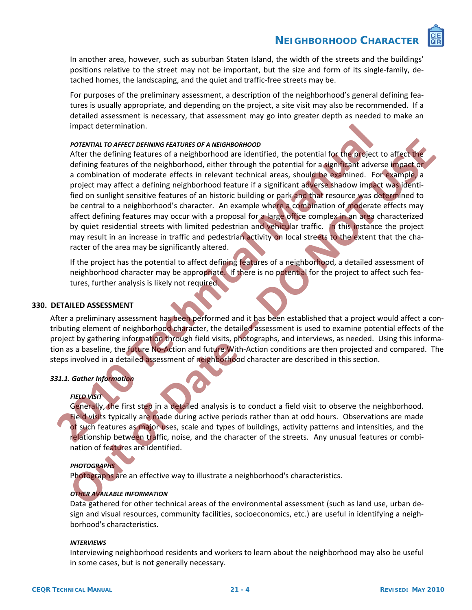

In another area, however, such as suburban Staten Island, the width of the streets and the buildings' positions relative to the street may not be important, but the size and form of its single-family, detached homes, the landscaping, and the quiet and traffic‐free streets may be.

For purposes of the preliminary assessment, a description of the neighborhood's general defining fea‐ tures is usually appropriate, and depending on the project, a site visit may also be recommended. If a detailed assessment is necessary, that assessment may go into greater depth as needed to make an impact determination.

#### *POTENTIAL TO AFFECT DEFINING FEATURES OF A NEIGHBORHOOD*

After the defining features of a neighborhood are identified, the potential for the project to affect the defining features of the neighborhood, either through the potential for a significant adverse impact or a combination of moderate effects in relevant technical areas, should be examined. For example, a project may affect a defining neighborhood feature if a significant adverse shadow impact was identified on sunlight sensitive features of an historic building or park and that resource was determined to be central to a neighborhood's character. An example where a combination of moderate effects may affect defining features may occur with a proposal for a large office complex in an area characterized by quiet residential streets with limited pedestrian and vehicular traffic. In this instance the project may result in an increase in traffic and pedestrian activity on local streets to the extent that the character of the area may be significantly altered. impact determination.<br> **2011** Fortunal Total Total Total Total Total Total Total Total Total Total Total Total Total Total Total Total Total Total Total Total Total Total Total Total Total Total Total Total Total Total Tot **POTERTIAL TO ASSESS MET CORRECT AND AND CONDUCT CONDUCTS AND AND CONDUCTS (DEPENDITION CONDUCTS)**<br> **Onter Analysis control and the proportion of moderate effects in relevant defining access should be examined. For example** 

If the project has the potential to affect defining features of a neighborhood, a detailed assessment of neighborhood character may be appropriate. If there is no potential for the project to affect such features, further analysis is likely not required.

#### **330. DETAILED ASSESSMENT**

After a preliminary assessment has been performed and it has been established that a project would affect a contributing element of neighborhood character, the detailed assessment is used to examine potential effects of the project by gathering information through field visits, photographs, and interviews, as needed. Using this information as a baseline, the future No‐Action and future With‐Action conditions are then projected and compared. The steps involved in a detailed assessment of neighborhood character are described in this section.

#### *331.1. Gather Information*

#### *FIELD VISIT*

Generally, the first step in a detailed analysis is to conduct a field visit to observe the neighborhood. Field visits typically are made during active periods rather than at odd hours. Observations are made of such features as major uses, scale and types of buildings, activity patterns and intensities, and the relationship between traffic, noise, and the character of the streets. Any unusual features or combination of features are identified.

#### *PHOTOGRAPHS*

Photographs are an effective way to illustrate a neighborhood's characteristics.

#### *OTHER AVAILABLE INFORMATION*

Data gathered for other technical areas of the environmental assessment (such as land use, urban de‐ sign and visual resources, community facilities, socioeconomics, etc.) are useful in identifying a neigh‐ borhood's characteristics.

#### *INTERVIEWS*

Interviewing neighborhood residents and workers to learn about the neighborhood may also be useful in some cases, but is not generally necessary.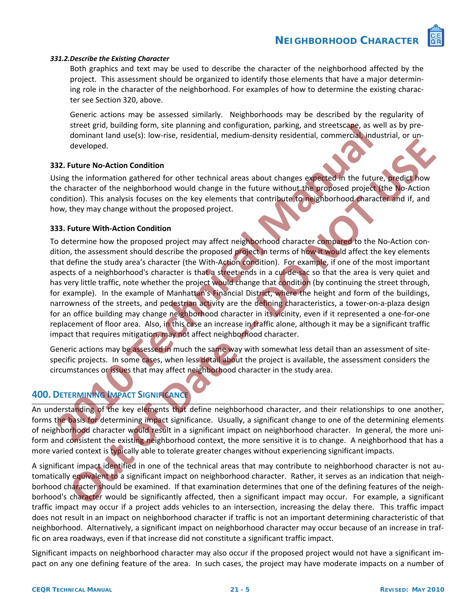

#### *331.2.Describe the Existing Character*

Both graphics and text may be used to describe the character of the neighborhood affected by the project. This assessment should be organized to identify those elements that have a major determin‐ ing role in the character of the neighborhood. For examples of how to determine the existing character see Section 320, above.

Generic actions may be assessed similarly. Neighborhoods may be described by the regularity of street grid, building form, site planning and configuration, parking, and streetscape, as well as by pre‐ dominant land use(s): low-rise, residential, medium-density residential, commercial, industrial, or undeveloped.

#### **332. Future No‐Action Condition**

Using the information gathered for other technical areas about changes expected in the future, predict how the character of the neighborhood would change in the future without the proposed project (the No‐Action condition). This analysis focuses on the key elements that contribute to neighborhood character and if, and how, they may change without the proposed project.

#### **333. Future With‐Action Condition**

To determine how the proposed project may affect neighborhood character compared to the No-Action condition, the assessment should describe the proposed project in terms of how it would affect the key elements that define the study area's character (the With‐Action condition). For example, if one of the most important aspects of a neighborhood's character is that a street ends in a cul‐de‐sac so that the area is very quiet and has very little traffic, note whether the project would change that condition (by continuing the street through, for example). In the example of Manhattan's Financial District, where the height and form of the buildings, narrowness of the streets, and pedestrian activity are the defining characteristics, a tower-on-a-plaza design for an office building may change neighborhood character in its vicinity, even if it represented a one‐for‐one replacement of floor area. Also, in this case an increase in traffic alone, although it may be a significant traffic impact that requires mitigation, may not affect neighborhood character. stret grad, building from, site planning and contiguration, parking, and stretstage, as well developed.<br> **20. Future No-Action Condition**<br> **20. Future No-Action Condition**<br> **20. Future No-Action Condition**<br> **20. Future No**developed.<br> **Control of the information** particle control of the theoretic control of the properties of the microscopy of<br>
the information of the information of the system of the system of the information of the microscopy

Generic actions may be assessed in much the same way with somewhat less detail than an assessment of sitespecific projects. In some cases, when less detail about the project is available, the assessment considers the circumstances or issues that may affect neighborhood character in the study area.

# **400.DETERMINING IMPACT SIGNIFICANCE**

An understanding of the key elements that define neighborhood character, and their relationships to one another, forms the basis for determining impact significance. Usually, a significant change to one of the determining elements of neighborhood character would result in a significant impact on neighborhood character. In general, the more uniform and consistent the existing neighborhood context, the more sensitive it is to change. A neighborhood that has a more varied context is typically able to tolerate greater changes without experiencing significant impacts.

A significant impact identified in one of the technical areas that may contribute to neighborhood character is not au‐ tomatically equivalent to a significant impact on neighborhood character. Rather, it serves as an indication that neighborhood character should be examined. If that examination determines that one of the defining features of the neighborhood's character would be significantly affected, then a significant impact may occur. For example, a significant traffic impact may occur if a project adds vehicles to an intersection, increasing the delay there. This traffic impact does not result in an impact on neighborhood character if traffic is not an important determining characteristic of that neighborhood. Alternatively, a significant impact on neighborhood character may occur because of an increase in traf‐ fic on area roadways, even if that increase did not constitute a significant traffic impact.

Significant impacts on neighborhood character may also occur if the proposed project would not have a significant im‐ pact on any one defining feature of the area. In such cases, the project may have moderate impacts on a number of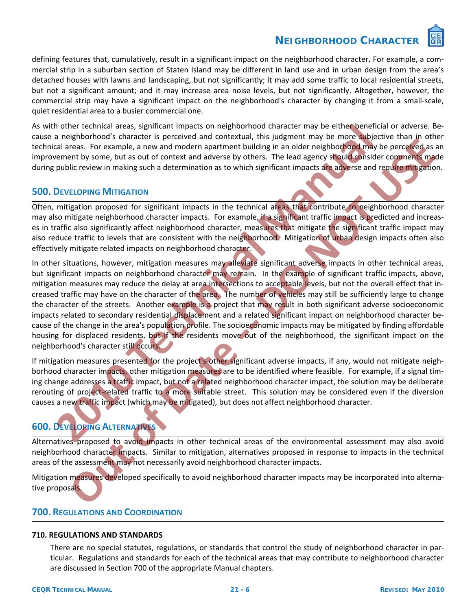

defining features that, cumulatively, result in a significant impact on the neighborhood character. For example, a commercial strip in a suburban section of Staten Island may be different in land use and in urban design from the area's detached houses with lawns and landscaping, but not significantly; it may add some traffic to local residential streets, but not a significant amount; and it may increase area noise levels, but not significantly. Altogether, however, the commercial strip may have a significant impact on the neighborhood's character by changing it from a small‐scale, quiet residential area to a busier commercial one.

As with other technical areas, significant impacts on neighborhood character may be either beneficial or adverse. Because a neighborhood's character is perceived and contextual, this judgment may be more subjective than in other technical areas. For example, a new and modern apartment building in an older neighborhood may be perceived as an improvement by some, but as out of context and adverse by others. The lead agency should consider comments made during public review in making such a determination as to which significant impacts are adverse and require mitigation.

# **500. DEVELOPING MITIGATION**

Often, mitigation proposed for significant impacts in the technical areas that contribute to neighborhood character may also mitigate neighborhood character impacts. For example, if a significant traffic impact is predicted and increases in traffic also significantly affect neighborhood character, measures that mitigate the significant traffic impact may also reduce traffic to levels that are consistent with the neighborhood. Mitigation of urban design impacts often also effectively mitigate related impacts on neighborhood character.

In other situations, however, mitigation measures may alleviate significant adverse impacts in other technical areas, but significant impacts on neighborhood character may remain. In the example of significant traffic impacts, above, mitigation measures may reduce the delay at area intersections to acceptable levels, but not the overall effect that in‐ creased traffic may have on the character of the area. The number of vehicles may still be sufficiently large to change the character of the streets. Another example is a project that may result in both significant adverse socioeconomic impacts related to secondary residential displacement and a related significant impact on neighborhood character be‐ cause of the change in the area's population profile. The socioeconomic impacts may be mitigated by finding affordable housing for displaced residents, but if the residents move out of the neighborhood, the significant impact on the neighborhood's character still occurs. n other technical areas, significant impacts on neighborhood character may be either beneficial<br>an aneighborhood's character is perceived and contextual, this judgment may be more subjectical rareas. For example, a new and **Example 20** and the constraint in the constraint in the station of the station of the station of the station of the station of the station of the station of the station of the station of the station of the station of the

If mitigation measures presented for the project's other significant adverse impacts, if any, would not mitigate neighborhood character impacts, other mitigation measures are to be identified where feasible. For example, if a signal timing change addresses a traffic impact, but not a related neighborhood character impact, the solution may be deliberate rerouting of project-related traffic to a more suitable street. This solution may be considered even if the diversion causes a new traffic impact (which may be mitigated), but does not affect neighborhood character.

# **600. DEVELOPING ALTERNATIVES**

Alternatives proposed to avoid impacts in other technical areas of the environmental assessment may also avoid neighborhood character impacts. Similar to mitigation, alternatives proposed in response to impacts in the technical areas of the assessment may not necessarily avoid neighborhood character impacts.

Mitigation measures developed specifically to avoid neighborhood character impacts may be incorporated into alternative proposals.

# **700. REGULATIONS AND COORDINATION**

#### **710. REGULATIONS AND STANDARDS**

There are no special statutes, regulations, or standards that control the study of neighborhood character in par‐ ticular. Regulations and standards for each of the technical areas that may contribute to neighborhood character are discussed in Section 700 of the appropriate Manual chapters.